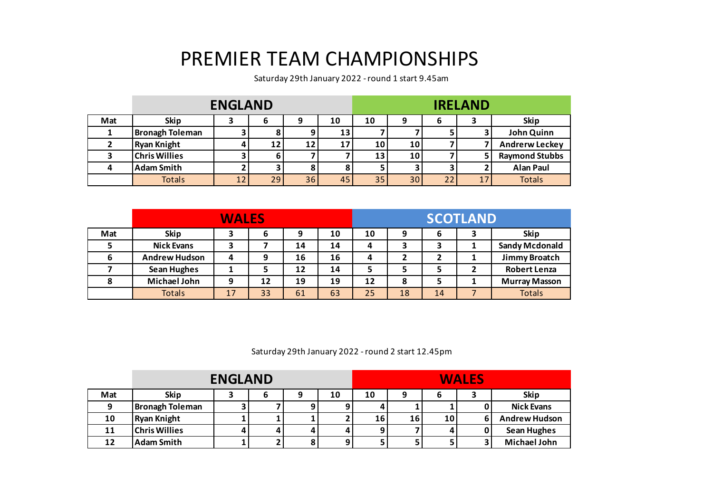## PREMIER TEAM CHAMPIONSHIPS

Saturday 29th January 2022 - round 1 start 9.45am

|     |                        | <b>ENGLAND</b> |    |    |    | <b>IRELAND</b> |    |    |  |                       |
|-----|------------------------|----------------|----|----|----|----------------|----|----|--|-----------------------|
| Mat | <b>Skip</b>            | З              | b  |    | 10 | 10             | 9  | o  |  | <b>Skip</b>           |
|     | <b>Bronagh Toleman</b> |                |    |    | 13 |                |    |    |  | John Quinn            |
|     | <b>Ryan Knight</b>     |                | 12 | 12 | 17 | 10             | 10 |    |  | <b>Andrerw Leckey</b> |
|     | <b>Chris Willies</b>   |                | h  |    |    | 13             | 10 |    |  | <b>Raymond Stubbs</b> |
|     | <b>Adam Smith</b>      |                |    |    |    |                |    |    |  | <b>Alan Paul</b>      |
|     | <b>Totals</b>          | 12             | 29 | 36 | 45 | 35             | 30 | 22 |  | <b>Totals</b>         |

|     |                      | <b>WALES</b> |    |    |    |    |    |    | <b>SCOTLAND</b> |                       |
|-----|----------------------|--------------|----|----|----|----|----|----|-----------------|-----------------------|
| Mat | <b>Skip</b>          |              | 6  | 9  | 10 | 10 |    | 6  |                 | <b>Skip</b>           |
|     | <b>Nick Evans</b>    | э            |    | 14 | 14 | 4  |    | ,  |                 | <b>Sandy Mcdonald</b> |
| 6   | <b>Andrew Hudson</b> | 4            | 9  | 16 | 16 | 4  |    |    |                 | Jimmy Broatch         |
|     | <b>Sean Hughes</b>   |              |    | 12 | 14 |    |    |    |                 | <b>Robert Lenza</b>   |
|     | <b>Michael John</b>  | 9            | 12 | 19 | 19 | 12 | 8  |    |                 | <b>Murray Masson</b>  |
|     | <b>Totals</b>        | 17           | 33 | 61 | 63 | 25 | 18 | 14 |                 | <b>Totals</b>         |

Saturday 29th January 2022 - round 2 start 12.45pm

|     | <b>ENGLAND</b>         |   |  |  |    |    |    | <b>WALES</b>    |  |                      |  |  |
|-----|------------------------|---|--|--|----|----|----|-----------------|--|----------------------|--|--|
| Mat | <b>Skip</b>            |   |  |  | 10 | 10 |    |                 |  | <b>Skip</b>          |  |  |
|     | <b>Bronagh Toleman</b> |   |  |  |    |    |    |                 |  | <b>Nick Evans</b>    |  |  |
| 10  | <b>Ryan Knight</b>     |   |  |  |    | 16 | 16 | 10 <sup>1</sup> |  | <b>Andrew Hudson</b> |  |  |
| 11  | <b>Chris Willies</b>   | 4 |  |  |    |    |    |                 |  | <b>Sean Hughes</b>   |  |  |
| 12  | <b>Adam Smith</b>      |   |  |  | 9  |    |    |                 |  | <b>Michael John</b>  |  |  |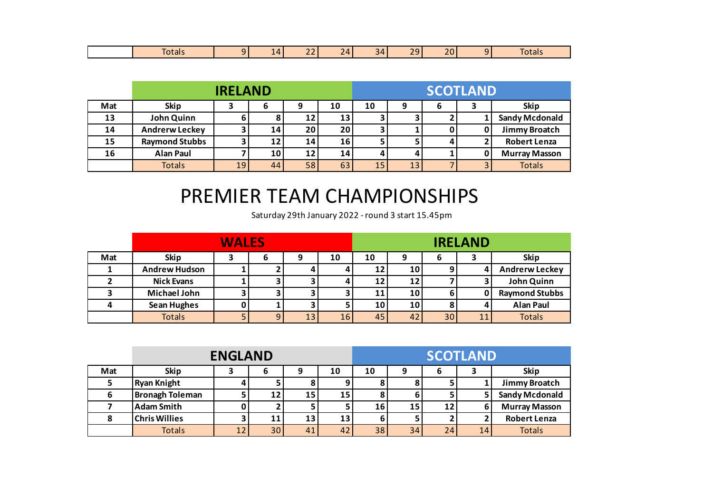|  | Totals |  | $\mathbf{u}$ | $\sim$ $\sim$<br>$\sim$ | $\sim$<br>$\mathbf{v}$<br><b>College College</b> | -271 | ാറ<br><b><i><u>ALCOHOL: 2005</u></i></b> | $\sim$ $\sim$<br>$\sim$ |  | $\sim$<br>. .<br>lais |
|--|--------|--|--------------|-------------------------|--------------------------------------------------|------|------------------------------------------|-------------------------|--|-----------------------|
|--|--------|--|--------------|-------------------------|--------------------------------------------------|------|------------------------------------------|-------------------------|--|-----------------------|

|     |                       | <b>IRELAND</b> |    |    |                 | <b>SCOTLAND</b> |    |   |  |                       |
|-----|-----------------------|----------------|----|----|-----------------|-----------------|----|---|--|-----------------------|
| Mat | <b>Skip</b>           |                | ь  |    | 10              | 10              |    | 6 |  | <b>Skip</b>           |
| 13  | John Quinn            | 6              |    | 12 | 13              |                 |    |   |  | <b>Sandy Mcdonald</b> |
| 14  | <b>Andrerw Leckey</b> | 3.             | 14 | 20 | 20 <sub>1</sub> |                 |    |   |  | Jimmy Broatch         |
| 15  | <b>Raymond Stubbs</b> |                |    | 14 | 16 <sub>1</sub> |                 |    |   |  | <b>Robert Lenza</b>   |
| 16  | <b>Alan Paul</b>      |                | 10 | 12 | 14              |                 |    |   |  | <b>Murray Masson</b>  |
|     | <b>Totals</b>         | 19             | 44 | 58 | 63              | 15              | 13 |   |  | <b>Totals</b>         |

## PREMIER TEAM CHAMPIONSHIPS

Saturday 29th January 2022 - round 3 start 15.45pm

|     |                      | <b>WALES</b> |    |    |    | <b>IRELAND</b> |                 |    |   |                       |
|-----|----------------------|--------------|----|----|----|----------------|-----------------|----|---|-----------------------|
| Mat | <b>Skip</b>          |              | b  |    | 10 | 10             |                 | b  |   | <b>Skip</b>           |
|     | <b>Andrew Hudson</b> |              |    |    |    | 12             | 10              |    |   | <b>Andrerw Leckey</b> |
|     | <b>Nick Evans</b>    |              |    |    |    | 12             | 12              |    |   | John Quinn            |
|     | <b>Michael John</b>  |              |    |    |    | 11             | 10 <sub>1</sub> | ь  | 0 | <b>Raymond Stubbs</b> |
|     | <b>Sean Hughes</b>   |              |    |    |    | 10             | 10              |    |   | <b>Alan Paul</b>      |
|     | <b>Totals</b>        | 5            | 9. | 13 | 16 | 45             | 42              | 30 |   | <b>Totals</b>         |

|     |                        | <b>ENGLAND</b> |                 |    |                 | <b>SCOTLAND</b> |    |    |    |                       |
|-----|------------------------|----------------|-----------------|----|-----------------|-----------------|----|----|----|-----------------------|
| Mat | <b>Skip</b>            |                | 6               | 9  | 10              | 10              | 9  | 6  |    | <b>Skip</b>           |
|     | <b>Ryan Knight</b>     |                |                 |    |                 |                 |    |    |    | Jimmy Broatch         |
|     | <b>Bronagh Toleman</b> |                | 12              | 15 | 15              |                 |    |    |    | <b>Sandy Mcdonald</b> |
|     | <b>Adam Smith</b>      |                |                 |    |                 | 16              | 15 | 12 | ь  | <b>Murray Masson</b>  |
|     | <b>Chris Willies</b>   |                | 11              | 13 | 13 <sub>1</sub> | 6               |    |    |    | <b>Robert Lenza</b>   |
|     | <b>Totals</b>          | 12             | 30 <sub>1</sub> | 41 | 42              | 38 <sub>1</sub> | 34 | 24 | 14 | <b>Totals</b>         |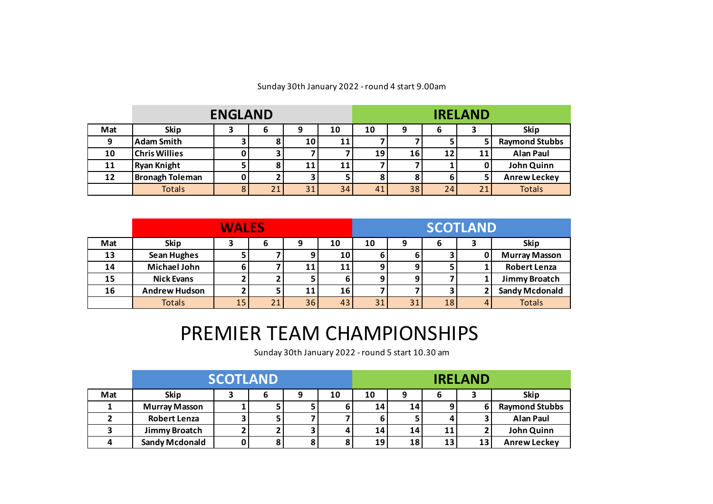|     |                        | <b>ENGLAND</b> |    |    |    |    |    |    | <b>IRELAND</b> |                       |
|-----|------------------------|----------------|----|----|----|----|----|----|----------------|-----------------------|
| Mat | <b>Skip</b>            |                | 6  |    | 10 | 10 | q  | O  |                | <b>Skip</b>           |
| Ω   | <b>Adam Smith</b>      |                |    | 10 | 11 |    |    |    |                | <b>Raymond Stubbs</b> |
| 10  | <b>Chris Willies</b>   | 0              |    |    |    | 19 | 16 | 12 | 11             | <b>Alan Paul</b>      |
| 11  | <b>Ryan Knight</b>     |                |    | 11 | 11 |    |    |    |                | John Quinn            |
| 12  | <b>Bronagh Toleman</b> | 0              |    |    | 5. |    |    | 6  |                | <b>Anrew Leckey</b>   |
|     | <b>Totals</b>          | 8              | 21 | 31 | 34 | 41 | 38 | 24 | 21             | <b>Totals</b>         |

## Sunday 30th January 2022 - round 4 start 9.00am

|     |                      | <b>WALES</b> |    |                 |    | <b>SCOTLAND</b> |    |    |                |                       |
|-----|----------------------|--------------|----|-----------------|----|-----------------|----|----|----------------|-----------------------|
| Mat | <b>Skip</b>          |              | 6  | 9               | 10 | 10              | 9  | 6  |                | <b>Skip</b>           |
| 13  | <b>Sean Hughes</b>   | כ            |    |                 | 10 | 6               |    |    |                | <b>Murray Masson</b>  |
| 14  | <b>Michael John</b>  | ь            |    | 11              | 11 | 9,              |    |    |                | <b>Robert Lenza</b>   |
| 15  | <b>Nick Evans</b>    |              |    |                 | ь  | 9               |    |    |                | Jimmy Broatch         |
| 16  | <b>Andrew Hudson</b> |              |    | 11              | 16 |                 |    |    |                | <b>Sandy Mcdonald</b> |
|     | <b>Totals</b>        | 15           | 21 | 36 <sub>1</sub> | 43 | 31              | 31 | 18 | $\overline{4}$ | <b>Totals</b>         |

## PREMIER TEAM CHAMPIONSHIPS

Sunday 30th January 2022 - round 5 start 10.30 am

|     |                       | <b>SCOTLAND</b> |  |    | <b>IRELAND</b> |    |    |    |                       |
|-----|-----------------------|-----------------|--|----|----------------|----|----|----|-----------------------|
| Mat | <b>Skip</b>           |                 |  | 10 | 10             |    |    |    | <b>Skip</b>           |
|     | <b>Murray Masson</b>  |                 |  |    | 14             | 14 |    |    | <b>Raymond Stubbs</b> |
|     | <b>Robert Lenza</b>   |                 |  |    |                |    |    |    | <b>Alan Paul</b>      |
|     | Jimmy Broatch         |                 |  | 4  | 14             | 14 | 11 |    | John Quinn            |
|     | <b>Sandy Mcdonald</b> |                 |  |    | 19             | 18 | 13 | 13 | <b>Anrew Leckey</b>   |